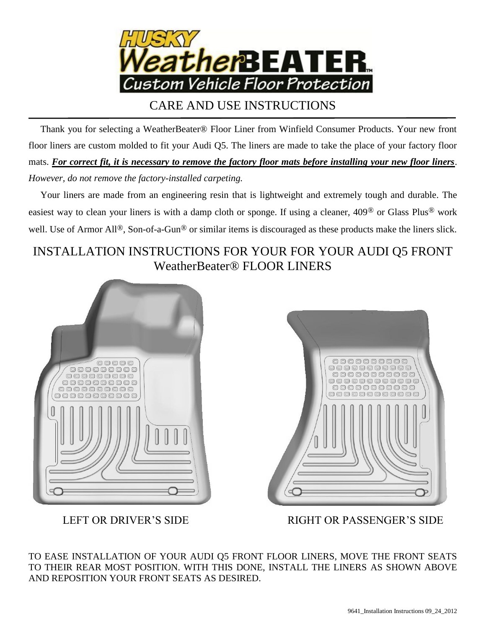

CARE AND USE INSTRUCTIONS

 Thank you for selecting a WeatherBeater® Floor Liner from Winfield Consumer Products. Your new front floor liners are custom molded to fit your Audi Q5. The liners are made to take the place of your factory floor mats. *For correct fit, it is necessary to remove the factory floor mats before installing your new floor liners*. *However, do not remove the factory-installed carpeting.*

 Your liners are made from an engineering resin that is lightweight and extremely tough and durable. The easiest way to clean your liners is with a damp cloth or sponge. If using a cleaner, 409® or Glass Plus® work well. Use of Armor All<sup>®</sup>, Son-of-a-Gun<sup>®</sup> or similar items is discouraged as these products make the liners slick.

## INSTALLATION INSTRUCTIONS FOR YOUR FOR YOUR AUDI Q5 FRONT WeatherBeater® FLOOR LINERS





LEFT OR DRIVER'S SIDE RIGHT OR PASSENGER'S SIDE

TO EASE INSTALLATION OF YOUR AUDI Q5 FRONT FLOOR LINERS, MOVE THE FRONT SEATS TO THEIR REAR MOST POSITION. WITH THIS DONE, INSTALL THE LINERS AS SHOWN ABOVE AND REPOSITION YOUR FRONT SEATS AS DESIRED.